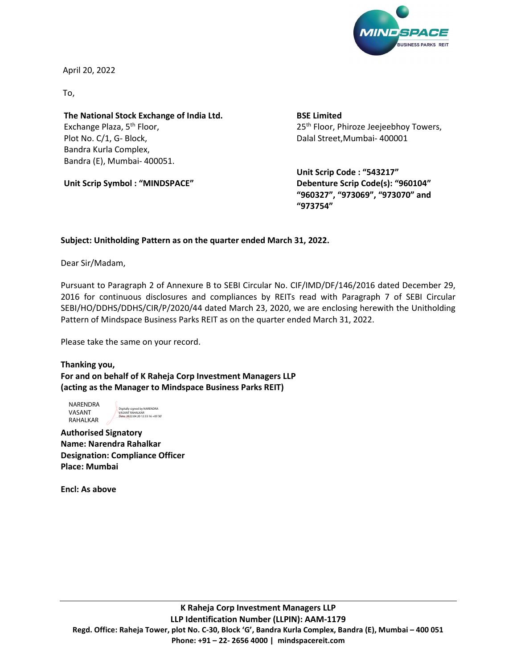

April 20, 2022

To,

The National Stock Exchange of India Ltd. Exchange Plaza, 5<sup>th</sup> Floor, Plot No. C/1, G- Block, Bandra Kurla Complex, Bandra (E), Mumbai- 400051.

Unit Scrip Symbol : "MINDSPACE"

BSE Limited 25<sup>th</sup> Floor, Phiroze Jeejeebhoy Towers, Dalal Street,Mumbai- 400001

Unit Scrip Code : "543217" Debenture Scrip Code(s): "960104" "960327", "973069", "973070" and "973754"

## Subject: Unitholding Pattern as on the quarter ended March 31, 2022.

Dear Sir/Madam,

Pursuant to Paragraph 2 of Annexure B to SEBI Circular No. CIF/IMD/DF/146/2016 dated December 29, 2016 for continuous disclosures and compliances by REITs read with Paragraph 7 of SEBI Circular SEBI/HO/DDHS/DDHS/CIR/P/2020/44 dated March 23, 2020, we are enclosing herewith the Unitholding Pattern of Mindspace Business Parks REIT as on the quarter ended March 31, 2022.

Please take the same on your record.

Thanking you, For and on behalf of K Raheja Corp Investment Managers LLP (acting as the Manager to Mindspace Business Parks REIT)

NARENDRA VASANT RAHALKAR

Digitally signed by NARENDRA VASANT RAHALKAR Date: 2022.04.20 12:33:16 +05'30'

Authorised Signatory Name: Narendra Rahalkar Designation: Compliance Officer Place: Mumbai

Encl: As above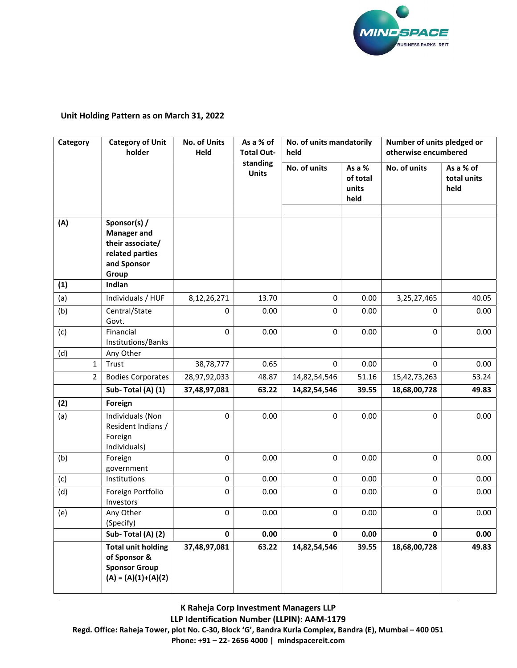

## Unit Holding Pattern as on March 31, 2022

| Category       | <b>Category of Unit</b><br>holder                                                                 | No. of Units<br>Held | As a % of<br><b>Total Out-</b> | No. of units mandatorily<br>held |                                     | Number of units pledged or<br>otherwise encumbered |                                  |
|----------------|---------------------------------------------------------------------------------------------------|----------------------|--------------------------------|----------------------------------|-------------------------------------|----------------------------------------------------|----------------------------------|
|                |                                                                                                   |                      | standing<br><b>Units</b>       | No. of units                     | As a %<br>of total<br>units<br>held | No. of units                                       | As a % of<br>total units<br>held |
| (A)            | Sponsor(s) /<br><b>Manager and</b><br>their associate/<br>related parties<br>and Sponsor<br>Group |                      |                                |                                  |                                     |                                                    |                                  |
| (1)            | Indian                                                                                            |                      |                                |                                  |                                     |                                                    |                                  |
| (a)            | Individuals / HUF                                                                                 | 8,12,26,271          | 13.70                          | 0                                | 0.00                                | 3,25,27,465                                        | 40.05                            |
| (b)            | Central/State<br>Govt.                                                                            | 0                    | 0.00                           | $\mathbf{0}$                     | 0.00                                | 0                                                  | 0.00                             |
| (c)            | Financial<br>Institutions/Banks                                                                   | 0                    | 0.00                           | $\mathbf 0$                      | 0.00                                | 0                                                  | 0.00                             |
| (d)            | Any Other                                                                                         |                      |                                |                                  |                                     |                                                    |                                  |
| 1              | Trust                                                                                             | 38,78,777            | 0.65                           | $\mathbf 0$                      | 0.00                                | $\mathbf 0$                                        | 0.00                             |
| $\overline{2}$ | <b>Bodies Corporates</b>                                                                          | 28,97,92,033         | 48.87                          | 14,82,54,546                     | 51.16                               | 15,42,73,263                                       | 53.24                            |
|                | Sub-Total (A) (1)                                                                                 | 37,48,97,081         | 63.22                          | 14,82,54,546                     | 39.55                               | 18,68,00,728                                       | 49.83                            |
| (2)            | Foreign                                                                                           |                      |                                |                                  |                                     |                                                    |                                  |
| (a)            | Individuals (Non<br>Resident Indians /<br>Foreign<br>Individuals)                                 | 0                    | 0.00                           | $\mathbf 0$                      | 0.00                                | 0                                                  | 0.00                             |
| (b)            | Foreign<br>government                                                                             | 0                    | 0.00                           | 0                                | 0.00                                | $\pmb{0}$                                          | 0.00                             |
| (c)            | Institutions                                                                                      | $\pmb{0}$            | 0.00                           | $\pmb{0}$                        | 0.00                                | $\pmb{0}$                                          | 0.00                             |
| (d)            | Foreign Portfolio<br>Investors                                                                    | 0                    | 0.00                           | $\mathbf 0$                      | 0.00                                | 0                                                  | 0.00                             |
| (e)            | Any Other<br>(Specify)                                                                            | 0                    | 0.00                           | $\pmb{0}$                        | 0.00                                | 0                                                  | 0.00                             |
|                | Sub-Total (A) (2)                                                                                 | $\mathbf 0$          | 0.00                           | $\mathbf 0$                      | 0.00                                | $\pmb{0}$                                          | 0.00                             |
|                | <b>Total unit holding</b><br>of Sponsor &<br><b>Sponsor Group</b><br>$(A) = (A)(1)+(A)(2)$        | 37,48,97,081         | 63.22                          | 14,82,54,546                     | 39.55                               | 18,68,00,728                                       | 49.83                            |

K Raheja Corp Investment Managers LLP LLP Identification Number (LLPIN): AAM-1179 Regd. Office: Raheja Tower, plot No. C-30, Block 'G', Bandra Kurla Complex, Bandra (E), Mumbai – 400 051 Phone: +91 – 22- 2656 4000 | mindspacereit.com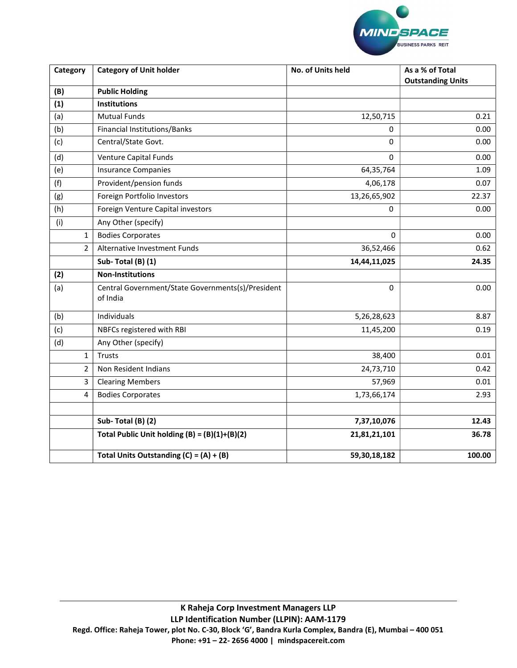

| Category       | <b>Category of Unit holder</b>                                | No. of Units held | As a % of Total<br><b>Outstanding Units</b> |  |
|----------------|---------------------------------------------------------------|-------------------|---------------------------------------------|--|
| (B)            | <b>Public Holding</b>                                         |                   |                                             |  |
| (1)            | <b>Institutions</b>                                           |                   |                                             |  |
| (a)            | <b>Mutual Funds</b>                                           | 12,50,715         | 0.21                                        |  |
| (b)            | Financial Institutions/Banks                                  | $\Omega$          | 0.00                                        |  |
| (c)            | Central/State Govt.                                           | 0                 | 0.00                                        |  |
| (d)            | Venture Capital Funds                                         | 0                 | 0.00                                        |  |
| (e)            | <b>Insurance Companies</b>                                    | 64,35,764         | 1.09                                        |  |
| (f)            | Provident/pension funds                                       | 4,06,178          | 0.07                                        |  |
| (g)            | Foreign Portfolio Investors                                   | 13,26,65,902      | 22.37                                       |  |
| (h)            | Foreign Venture Capital investors                             | 0                 | 0.00                                        |  |
| (i)            | Any Other (specify)                                           |                   |                                             |  |
| 1              | <b>Bodies Corporates</b>                                      | 0                 | 0.00                                        |  |
| $\overline{2}$ | Alternative Investment Funds                                  | 36,52,466         | 0.62                                        |  |
|                | Sub-Total (B) (1)                                             | 14,44,11,025      | 24.35                                       |  |
| (2)            | <b>Non-Institutions</b>                                       |                   |                                             |  |
| (a)            | Central Government/State Governments(s)/President<br>of India | 0                 | 0.00                                        |  |
| (b)            | Individuals                                                   | 5,26,28,623       | 8.87                                        |  |
| (c)            | NBFCs registered with RBI                                     | 11,45,200         | 0.19                                        |  |
| (d)            | Any Other (specify)                                           |                   |                                             |  |
| $\mathbf{1}$   | <b>Trusts</b>                                                 | 38,400            | 0.01                                        |  |
| $\overline{2}$ | Non Resident Indians                                          | 24,73,710         | 0.42                                        |  |
| 3              | <b>Clearing Members</b>                                       | 57,969            | 0.01                                        |  |
| 4              | <b>Bodies Corporates</b>                                      | 1,73,66,174       | 2.93                                        |  |
|                | Sub-Total (B) (2)                                             | 7,37,10,076       | 12.43                                       |  |
|                | Total Public Unit holding $(B) = (B)(1)+(B)(2)$               | 21,81,21,101      | 36.78                                       |  |
|                |                                                               |                   |                                             |  |
|                | Total Units Outstanding $(C) = (A) + (B)$                     | 59,30,18,182      | 100.00                                      |  |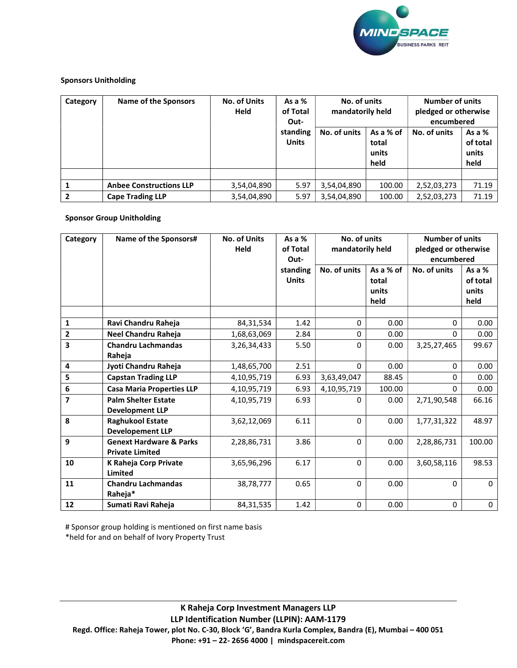

## Sponsors Unitholding

| Category | <b>Name of the Sponsors</b>    | <b>No. of Units</b><br><b>Held</b> | As a $%$<br>of Total<br>Out- | No. of units<br>mandatorily held |                                     | <b>Number of units</b><br>pledged or otherwise<br>encumbered |                                       |
|----------|--------------------------------|------------------------------------|------------------------------|----------------------------------|-------------------------------------|--------------------------------------------------------------|---------------------------------------|
|          |                                |                                    | standing<br><b>Units</b>     | No. of units                     | As a % of<br>total<br>units<br>held | No. of units                                                 | As a $%$<br>of total<br>units<br>held |
|          |                                |                                    |                              |                                  |                                     |                                                              |                                       |
|          | <b>Anbee Constructions LLP</b> | 3,54,04,890                        | 5.97                         | 3,54,04,890                      | 100.00                              | 2,52,03,273                                                  | 71.19                                 |
|          | <b>Cape Trading LLP</b>        | 3,54,04,890                        | 5.97                         | 3,54,04,890                      | 100.00                              | 2,52,03,273                                                  | 71.19                                 |

## Sponsor Group Unitholding

| Category                | Name of the Sponsors#                                        | <b>No. of Units</b><br><b>Held</b> | As a %<br>of Total<br>Out- | No. of units<br>mandatorily held |                                     | <b>Number of units</b><br>pledged or otherwise<br>encumbered |                                       |
|-------------------------|--------------------------------------------------------------|------------------------------------|----------------------------|----------------------------------|-------------------------------------|--------------------------------------------------------------|---------------------------------------|
|                         |                                                              |                                    | standing<br><b>Units</b>   | No. of units                     | As a % of<br>total<br>units<br>held | No. of units                                                 | As a $%$<br>of total<br>units<br>held |
| $\mathbf{1}$            | Ravi Chandru Raheja                                          | 84,31,534                          | 1.42                       | 0                                | 0.00                                | $\mathbf{0}$                                                 | 0.00                                  |
| 2                       | Neel Chandru Raheja                                          | 1,68,63,069                        | 2.84                       | 0                                | 0.00                                | 0                                                            | 0.00                                  |
| 3                       | <b>Chandru Lachmandas</b>                                    | 3,26,34,433                        | 5.50                       | 0                                | 0.00                                | 3,25,27,465                                                  | 99.67                                 |
|                         | Raheja                                                       |                                    |                            |                                  |                                     |                                                              |                                       |
| $\overline{\mathbf{4}}$ | Jyoti Chandru Raheja                                         | 1,48,65,700                        | 2.51                       | $\Omega$                         | 0.00                                | $\mathbf{0}$                                                 | 0.00                                  |
| 5                       | <b>Capstan Trading LLP</b>                                   | 4,10,95,719                        | 6.93                       | 3,63,49,047                      | 88.45                               | $\Omega$                                                     | 0.00                                  |
| $\bf 6$                 | <b>Casa Maria Properties LLP</b>                             | 4,10,95,719                        | 6.93                       | 4,10,95,719                      | 100.00                              | $\Omega$                                                     | 0.00                                  |
| $\overline{7}$          | <b>Palm Shelter Estate</b><br><b>Development LLP</b>         | 4,10,95,719                        | 6.93                       | 0                                | 0.00                                | 2,71,90,548                                                  | 66.16                                 |
| 8                       | <b>Raghukool Estate</b><br><b>Developement LLP</b>           | 3,62,12,069                        | 6.11                       | $\Omega$                         | 0.00                                | 1,77,31,322                                                  | 48.97                                 |
| 9                       | <b>Genext Hardware &amp; Parks</b><br><b>Private Limited</b> | 2,28,86,731                        | 3.86                       | $\Omega$                         | 0.00                                | 2,28,86,731                                                  | 100.00                                |
| 10                      | K Raheja Corp Private<br>Limited                             | 3,65,96,296                        | 6.17                       | 0                                | 0.00                                | 3,60,58,116                                                  | 98.53                                 |
| 11                      | <b>Chandru Lachmandas</b><br>Raheja*                         | 38,78,777                          | 0.65                       | $\Omega$                         | 0.00                                | $\mathbf{0}$                                                 | $\Omega$                              |
| ${\bf 12}$              | Sumati Ravi Raheja                                           | 84,31,535                          | 1.42                       | $\Omega$                         | 0.00                                | $\mathbf 0$                                                  | 0                                     |

# Sponsor group holding is mentioned on first name basis

\*held for and on behalf of Ivory Property Trust